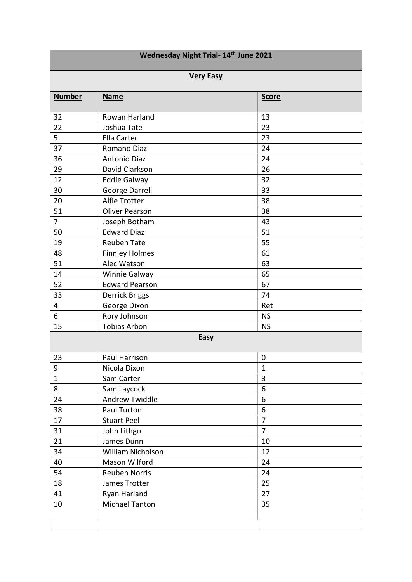| Wednesday Night Trial- 14th June 2021 |                       |                |  |
|---------------------------------------|-----------------------|----------------|--|
| <b>Very Easy</b>                      |                       |                |  |
| <b>Number</b>                         | <b>Name</b>           | <b>Score</b>   |  |
| 32                                    | Rowan Harland         | 13             |  |
| 22                                    | Joshua Tate           | 23             |  |
| 5                                     | Ella Carter           | 23             |  |
| 37                                    | Romano Diaz           | 24             |  |
| 36                                    | Antonio Diaz          | 24             |  |
| 29                                    | David Clarkson        | 26             |  |
| 12                                    | <b>Eddie Galway</b>   | 32             |  |
| 30                                    | George Darrell        | 33             |  |
| 20                                    | <b>Alfie Trotter</b>  | 38             |  |
| 51                                    | <b>Oliver Pearson</b> | 38             |  |
| $\overline{7}$                        | Joseph Botham         | 43             |  |
| 50                                    | <b>Edward Diaz</b>    | 51             |  |
| 19                                    | Reuben Tate           | 55             |  |
| 48                                    | <b>Finnley Holmes</b> | 61             |  |
| 51                                    | Alec Watson           | 63             |  |
| 14                                    | Winnie Galway         | 65             |  |
| 52                                    | <b>Edward Pearson</b> | 67             |  |
| 33                                    | <b>Derrick Briggs</b> | 74             |  |
| 4                                     | George Dixon          | Ret            |  |
| 6                                     | Rory Johnson          | <b>NS</b>      |  |
| 15                                    | <b>Tobias Arbon</b>   | <b>NS</b>      |  |
| <b>Easy</b>                           |                       |                |  |
| 23                                    | Paul Harrison         | $\mathbf 0$    |  |
| 9                                     | Nicola Dixon          | $\mathbf{1}$   |  |
| $\mathbf{1}$                          | Sam Carter            | 3              |  |
| 8                                     | Sam Laycock           | 6              |  |
| 24                                    | <b>Andrew Twiddle</b> | 6              |  |
| 38                                    | Paul Turton           | 6              |  |
| 17                                    | <b>Stuart Peel</b>    | $\overline{7}$ |  |
| 31                                    | John Lithgo           | $\overline{7}$ |  |
| 21                                    | James Dunn            | 10             |  |
| 34                                    | William Nicholson     | 12             |  |
| 40                                    | Mason Wilford         | 24             |  |
| 54                                    | <b>Reuben Norris</b>  | 24             |  |
| 18                                    | James Trotter         | 25             |  |
| 41                                    | Ryan Harland          | 27             |  |
| 10                                    | <b>Michael Tanton</b> | 35             |  |
|                                       |                       |                |  |
|                                       |                       |                |  |